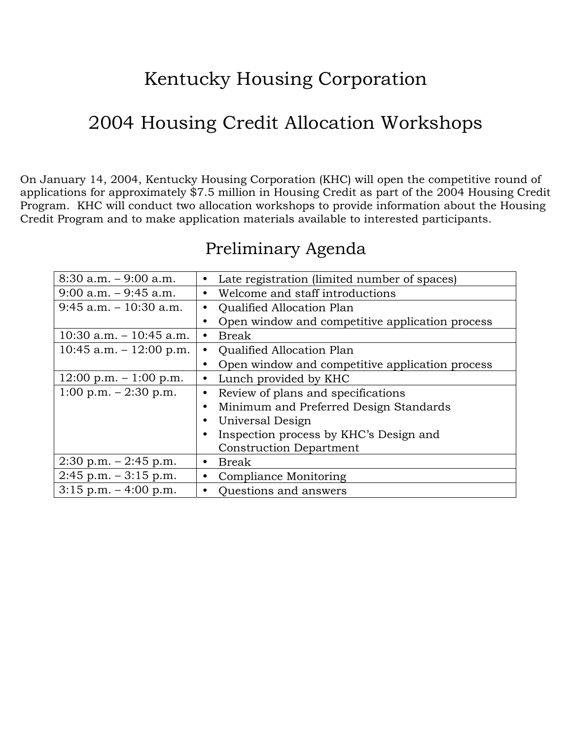# Kentucky Housing Corporation

# 2004 Housing Credit Allocation Workshops

On January 14, 2004, Kentucky Housing Corporation (KHC) will open the competitive round of applications for approximately \$7.5 million in Housing Credit as part of the 2004 Housing Credit Program. KHC will conduct two allocation workshops to provide information about the Housing Credit Program and to make application materials available to interested participants.

| $8:30$ a.m. $-9:00$ a.m.                 | $\bullet$ | Late registration (limited number of spaces)    |  |
|------------------------------------------|-----------|-------------------------------------------------|--|
| $9:00$ a.m. $-9:45$ a.m.                 | $\bullet$ | Welcome and staff introductions                 |  |
| $9:45$ a.m. $-10:30$ a.m.                | $\bullet$ | <b>Qualified Allocation Plan</b>                |  |
|                                          |           | Open window and competitive application process |  |
| $10:30$ a.m. $-10:45$ a.m.               | $\bullet$ | <b>Break</b>                                    |  |
| $10:45$ a.m. $-12:00$ p.m.               | $\bullet$ | <b>Qualified Allocation Plan</b>                |  |
|                                          | $\bullet$ | Open window and competitive application process |  |
| $12:00 \text{ p.m.} - 1:00 \text{ p.m.}$ | $\bullet$ | Lunch provided by KHC                           |  |
| 1:00 p.m. $-2:30$ p.m.                   | $\bullet$ | Review of plans and specifications              |  |
|                                          |           | Minimum and Preferred Design Standards          |  |
|                                          |           | Universal Design                                |  |
|                                          |           | Inspection process by KHC's Design and          |  |
|                                          |           | <b>Construction Department</b>                  |  |
| $2:30$ p.m. $-2:45$ p.m.                 | $\bullet$ | <b>Break</b>                                    |  |
| $2:45$ p.m. $-3:15$ p.m.                 | $\bullet$ | Compliance Monitoring                           |  |
| $3:15$ p.m. $-4:00$ p.m.                 | $\bullet$ | Questions and answers                           |  |

## Preliminary Agenda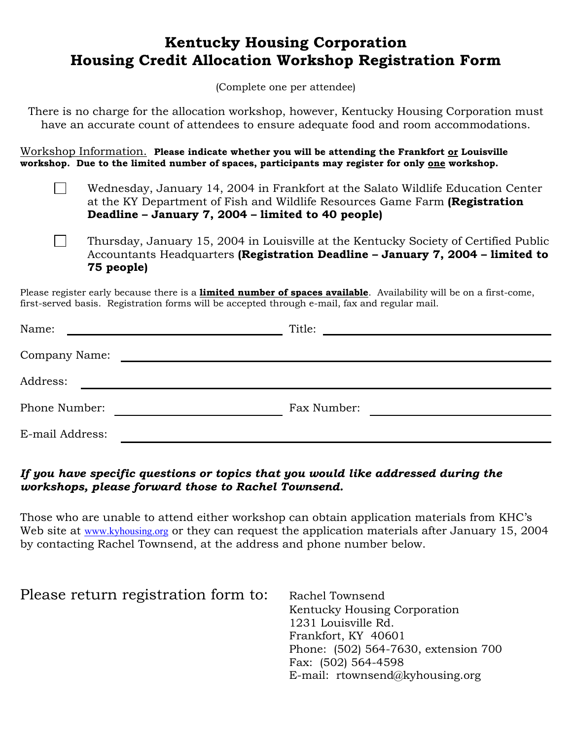## **Kentucky Housing Corporation Housing Credit Allocation Workshop Registration Form**

(Complete one per attendee)

There is no charge for the allocation workshop, however, Kentucky Housing Corporation must have an accurate count of attendees to ensure adequate food and room accommodations.

Workshop Information. **Please indicate whether you will be attending the Frankfort or Louisville workshop. Due to the limited number of spaces, participants may register for only one workshop.**

 $\Box$ 

 $\mathcal{L}^{\text{max}}$ Wednesday, January 14, 2004 in Frankfort at the Salato Wildlife Education Center at the KY Department of Fish and Wildlife Resources Game Farm **(Registration Deadline – January 7, 2004 – limited to 40 people)**

Thursday, January 15, 2004 in Louisville at the Kentucky Society of Certified Public Accountants Headquarters **(Registration Deadline – January 7, 2004 – limited to 75 people)**

Please register early because there is a **limited number of spaces available**. Availability will be on a first-come, first-served basis. Registration forms will be accepted through e-mail, fax and regular mail.

| Name:           | Title:                                                                                                                                                                                                                        |  |
|-----------------|-------------------------------------------------------------------------------------------------------------------------------------------------------------------------------------------------------------------------------|--|
| Company Name:   | the control of the control of the control of the control of the control of the control of the control of the control of the control of the control of the control of the control of the control of the control of the control |  |
| Address:        |                                                                                                                                                                                                                               |  |
| Phone Number:   | Fax Number:                                                                                                                                                                                                                   |  |
| E-mail Address: |                                                                                                                                                                                                                               |  |

#### *If you have specific questions or topics that you would like addressed during the workshops, please forward those to Rachel Townsend.*

Those who are unable to attend either workshop can obtain application materials from KHC's Web site at [www.kyhousing.org](http://www.kyhousing.org/) or they can request the application materials after January 15, 2004 by contacting Rachel Townsend, at the address and phone number below.

| Please return registration form to: | Rachel Townsend                      |
|-------------------------------------|--------------------------------------|
|                                     | Kentucky Housing Corporation         |
|                                     | 1231 Louisville Rd.                  |
|                                     | Frankfort, KY 40601                  |
|                                     | Phone: (502) 564-7630, extension 700 |
|                                     | Fax: (502) 564-4598                  |
|                                     | E-mail: rtownsend@kyhousing.org      |